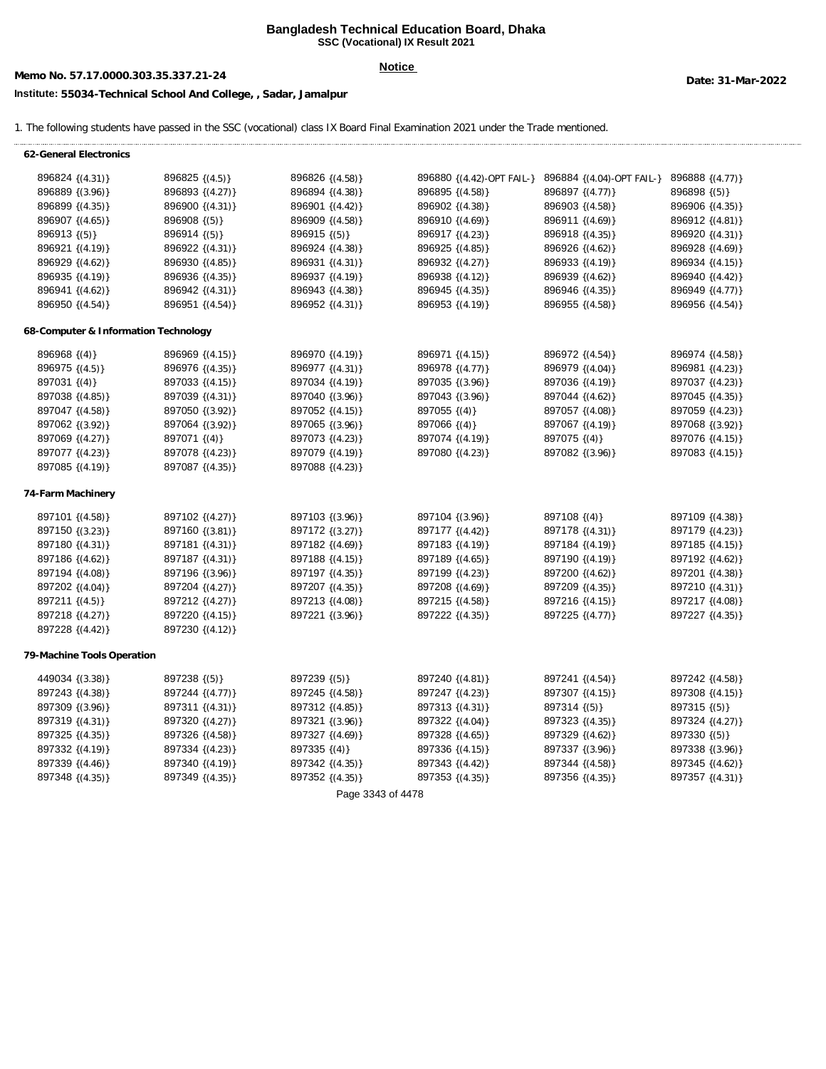### **Bangladesh Technical Education Board, Dhaka SSC (Vocational) IX Result 2021**

# **Memo No. 57.17.0000.303.35.337.21-24 Date: 31-Mar-2022**

## **Notice**

## **Institute: 55034-Technical School And College, , Sadar, Jamalpur**

1. The following students have passed in the SSC (vocational) class IX Board Final Examination 2021 under the Trade mentioned.

| 62-General Electronics               |                     |                     |                           |                           |                   |
|--------------------------------------|---------------------|---------------------|---------------------------|---------------------------|-------------------|
| 896824 {(4.31)}                      | $896825 \{(4.5)\}\$ | 896826 {(4.58)}     | 896880 {(4.42)-OPT FAIL-} | 896884 {(4.04)-OPT FAIL-} | 896888 {(4.77)}   |
| 896889 {(3.96)}                      | 896893 {(4.27)}     | 896894 { (4.38) }   | 896895 { (4.58) }         | 896897 { (4.77) }         | 896898(5)         |
| 896899 {(4.35)}                      | 896900 {(4.31)}     | 896901 {(4.42)}     | 896902 {(4.38)}           | 896903 {(4.58)}           | 896906 {(4.35)}   |
| 896907 {(4.65)}                      | 896908(5)           | 896909 {(4.58)}     | 896910 {(4.69)}           | 896911 { (4.69) }         | 896912 {(4.81)}   |
| 896913(5)                            | 896914(5)           | $896915$ {(5)}      | 896917 { (4.23) }         | 896918 { (4.35) }         | 896920 { (4.31) } |
| 896921 {(4.19)}                      | 896922 {(4.31)}     | 896924 { (4.38) }   | 896925 { (4.85) }         | 896926 {(4.62)}           | 896928 { (4.69) } |
| 896929 {(4.62)}                      | 896930 {(4.85)}     | $896931 {(4.31)}$   | 896932 {(4.27)}           | 896933 {(4.19)}           | 896934 {(4.15)}   |
| 896935 {(4.19)}                      | 896936 { (4.35) }   | 896937 { (4.19) }   | 896938 { (4.12) }         | 896939 {(4.62)}           | 896940 {(4.42)}   |
| 896941 {(4.62)}                      | 896942 {(4.31)}     | 896943 {(4.38)}     | 896945 { (4.35) }         | 896946 {(4.35)}           | 896949 { (4.77) } |
| 896950 {(4.54)}                      | 896951 {(4.54)}     | 896952 {(4.31)}     | $896953$ {(4.19)}         | 896955 {(4.58)}           | 896956 {(4.54)}   |
| 68-Computer & Information Technology |                     |                     |                           |                           |                   |
| $896968$ {(4)}                       | 896969 { (4.15) }   | 896970 { (4.19) }   | 896971 { (4.15) }         | 896972 { (4.54) }         | 896974 { (4.58) } |
| $896975$ {(4.5)}                     | 896976 { (4.35) }   | 896977 { (4.31) }   | 896978 { (4.77) }         | 896979 { (4.04) }         | 896981 {(4.23)}   |
| 897031 {(4)}                         | 897033 { (4.15) }   | 897034 { (4.19) }   | 897035 {(3.96)}           | 897036 { (4.19) }         | 897037 { (4.23) } |
| 897038 {(4.85)}                      | 897039 {(4.31)}     | 897040 {(3.96)}     | 897043 {(3.96)}           | 897044 {(4.62)}           | 897045 {(4.35)}   |
| 897047 { (4.58) }                    | 897050 {(3.92)}     | 897052 {(4.15)}     | 897055 {(4)}              | 897057 {(4.08)}           | 897059 { (4.23) } |
| 897062 {(3.92)}                      | 897064 {(3.92)}     | 897065 {(3.96)}     | $897066$ {(4)}            | 897067 { (4.19) }         | 897068 {(3.92)}   |
| 897069 {(4.27)}                      | 897071 $\{(4)\}$    | 897073 { (4.23) }   | 897074 { (4.19) }         | $897075$ {(4)}            | 897076 { (4.15) } |
| 897077 { (4.23) }                    | 897078 { (4.23) }   | 897079 { (4.19) }   | 897080 { (4.23) }         | 897082 {(3.96)}           | 897083 { (4.15) } |
| 897085 {(4.19)}                      | 897087 { (4.35) }   | 897088 {(4.23)}     |                           |                           |                   |
| 74-Farm Machinery                    |                     |                     |                           |                           |                   |
| 897101 {(4.58)}                      | 897102 {(4.27)}     | 897103 {(3.96)}     | 897104 {(3.96)}           | $897108\{(4)\}$           | 897109 { (4.38) } |
| 897150 {(3.23)}                      | 897160 {(3.81)}     | $897172$ {(3.27)}   | 897177 { (4.42) }         | 897178(4.31)              | 897179 { (4.23) } |
| 897180 {(4.31)}                      | 897181 {(4.31)}     | 897182 {(4.69)}     | 897183 {(4.19)}           | 897184 {(4.19)}           | 897185 {(4.15)}   |
| 897186 {(4.62)}                      | 897187 {(4.31)}     | $897188\{(4.15)\}\$ | 897189 {(4.65)}           | 897190 {(4.19)}           | 897192 {(4.62)}   |
| 897194 { (4.08) }                    | 897196 {(3.96)}     | 897197 { (4.35) }   | 897199 { (4.23) }         | 897200 {(4.62)}           | 897201 {(4.38)}   |
| 897202 {(4.04)}                      | 897204 {(4.27)}     | 897207 {(4.35)}     | 897208 { (4.69) }         | 897209 { (4.35) }         | 897210 {(4.31)}   |
| 897211 {(4.5)}                       | 897212 {(4.27)}     | 897213 {(4.08)}     | 897215 { (4.58) }         | 897216 {(4.15)}           | 897217 { (4.08) } |
| 897218 {(4.27)}                      | 897220 {(4.15)}     | 897221 {(3.96)}     | 897222 { (4.35) }         | 897225 {(4.77)}           | 897227 { (4.35) } |
| 897228 {(4.42)}                      | 897230 {(4.12)}     |                     |                           |                           |                   |
| 79-Machine Tools Operation           |                     |                     |                           |                           |                   |
| 449034 {(3.38)}                      | 897238 {(5)}        | 897239 {(5)}        | 897240 {(4.81)}           | 897241 {(4.54)}           | 897242 {(4.58)}   |
| 897243 {(4.38)}                      | 897244 {(4.77)}     | 897245 {(4.58)}     | 897247 { (4.23) }         | 897307 {(4.15)}           | 897308 {(4.15)}   |
| 897309 {(3.96)}                      | 897311 {(4.31)}     | 897312 {(4.85)}     | 897313 { (4.31) }         | 897314(5)                 | $897315$ {(5)}    |
| 897319 { (4.31) }                    | 897320 {(4.27)}     | 897321 {(3.96)}     | 897322 {(4.04)}           | 897323 { (4.35) }         | 897324 {(4.27)}   |
| 897325 { (4.35) }                    | 897326 {(4.58)}     | 897327 {(4.69)}     | 897328 { (4.65) }         | 897329 {(4.62)}           | $897330\{(5)\}\$  |
| 897332 {(4.19)}                      | 897334 {(4.23)}     | 897335 $\{(4)\}$    | 897336 {(4.15)}           | 897337 {(3.96)}           | 897338 {(3.96)}   |
| 897339 {(4.46)}                      | 897340 {(4.19)}     | 897342 { (4.35) }   | 897343 {(4.42)}           | 897344 { (4.58) }         | 897345 { (4.62) } |
| 897348 {(4.35)}                      | 897349 {(4.35)}     | 897352 {(4.35)}     | 897353 {(4.35)}           | 897356 {(4.35)}           | 897357 {(4.31)}   |
|                                      |                     | Page 3343 of 4478   |                           |                           |                   |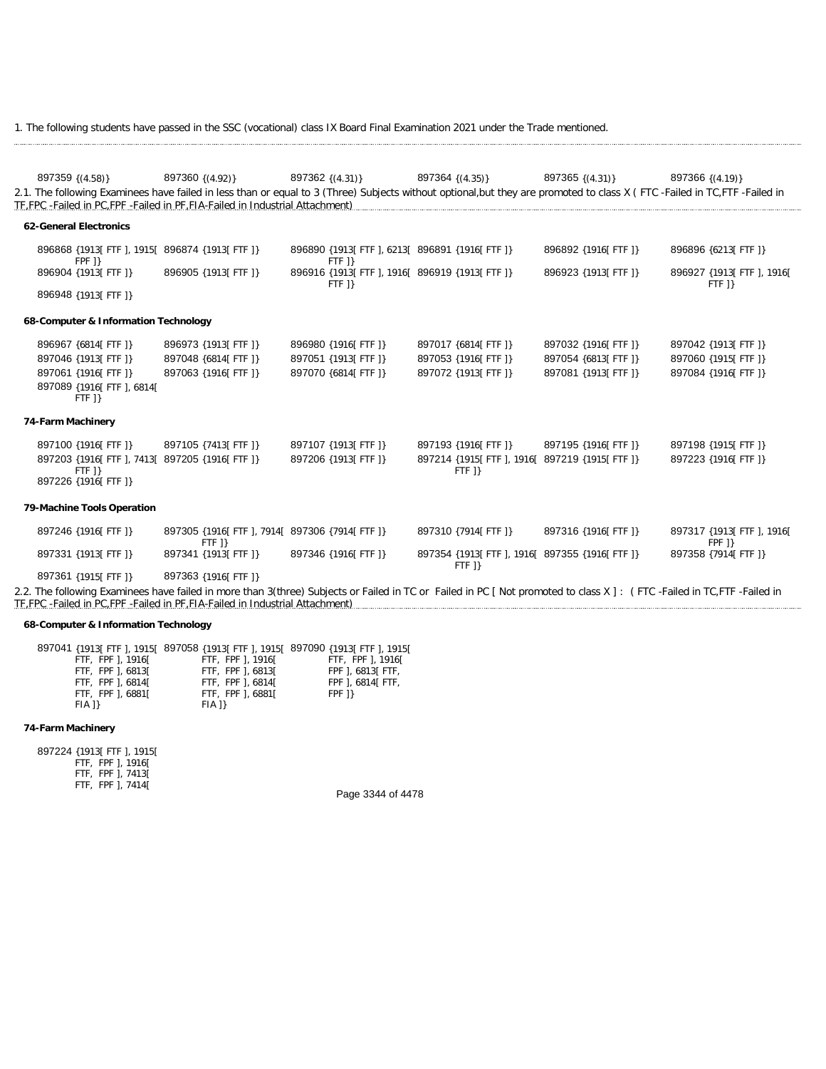1. The following students have passed in the SSC (vocational) class IX Board Final Examination 2021 under the Trade mentioned.

| 897359 { (4.58) }                                                                                                                                                          | 897360 {(4.92)}                                         | 897362 {(4.31)}                                             | 897364 {(4.35)}                                             | $897365$ {(4.31)}    | 897366 {(4.19)}                        |
|----------------------------------------------------------------------------------------------------------------------------------------------------------------------------|---------------------------------------------------------|-------------------------------------------------------------|-------------------------------------------------------------|----------------------|----------------------------------------|
| 2.1. The following Examinees have failed in less than or equal to 3 (Three) Subjects without optional, but they are promoted to class X (FTC -Failed in TC, FTF -Failed in |                                                         |                                                             |                                                             |                      |                                        |
| TF, FPC - Failed in PC, FPF - Failed in PF, FIA-Failed in Industrial Attachment)                                                                                           |                                                         |                                                             |                                                             |                      |                                        |
| 62-General Electronics                                                                                                                                                     |                                                         |                                                             |                                                             |                      |                                        |
|                                                                                                                                                                            |                                                         |                                                             |                                                             |                      |                                        |
| 896868 {1913[ FTF ], 1915[ 896874 {1913[ FTF ]}<br><b>FPF</b> 1}                                                                                                           |                                                         | 896890 {1913] FTF 1, 6213] 896891 {1916] FTF 1}<br>$FTF$ ]} |                                                             | 896892 {1916[FTF]}   | 896896 {6213[ FTF ]}                   |
| 896904 {1913] FTF 1}                                                                                                                                                       | 896905 {1913] FTF 1}                                    | 896916 {1913] FTF 1, 1916] 896919 {1913] FTF 1}<br>$FTF$ 1} |                                                             | 896923 {1913] FTF 1} | 896927 {1913] FTF 1, 1916]<br>$FTF$ 1} |
| 896948 {1913] FTF 1}                                                                                                                                                       |                                                         |                                                             |                                                             |                      |                                        |
| 68-Computer & Information Technology                                                                                                                                       |                                                         |                                                             |                                                             |                      |                                        |
| 896967 {6814[FTF]}                                                                                                                                                         | 896973 {1913[FTF]}                                      | 896980 {1916[ FTF ]}                                        | 897017 {6814] FTF 1}                                        | 897032 {1916] FTF 1} | 897042 {1913] FTF 1}                   |
| 897046 {1913] FTF 1}                                                                                                                                                       | 897048 {6814] FTF 1}                                    | 897051 {1913] FTF 1}                                        | 897053 {1916] FTF 1}                                        | 897054 {6813] FTF 1} | 897060 {1915] FTF 1}                   |
| 897061 {1916] FTF 1}                                                                                                                                                       | 897063 {1916] FTF 1}                                    | 897070 {6814] FTF 1}                                        | 897072 {1913] FTF 1}                                        | 897081 {1913] FTF 1} | 897084 {1916] FTF 1}                   |
| 897089 {1916[ FTF ], 6814[<br>$FTF$ 1}                                                                                                                                     |                                                         |                                                             |                                                             |                      |                                        |
| 74-Farm Machinery                                                                                                                                                          |                                                         |                                                             |                                                             |                      |                                        |
| 897100 {1916] FTF 1}                                                                                                                                                       | 897105 {7413[FTF]}                                      | 897107 {1913[FTF]}                                          | 897193 {1916] FTF 1}                                        | 897195 {1916] FTF 1} | 897198 {1915[ FTF ]}                   |
| 897203 {1916] FTF 1, 7413] 897205 {1916] FTF 1}                                                                                                                            |                                                         | 897206 {1913] FTF 1}                                        | 897214 {1915] FTF 1, 1916] 897219 {1915] FTF 1}             |                      | 897223 {1916] FTF 1}                   |
| $FTF$ 1}<br>897226 {1916[ FTF ]}                                                                                                                                           |                                                         |                                                             | $FTF$ ]}                                                    |                      |                                        |
| 79-Machine Tools Operation                                                                                                                                                 |                                                         |                                                             |                                                             |                      |                                        |
|                                                                                                                                                                            |                                                         |                                                             |                                                             |                      |                                        |
| 897246 {1916[ FTF ]}                                                                                                                                                       | 897305 {1916[FTF], 7914[ 897306 {7914[FTF]}<br>$FTF$ 1} |                                                             | 897310 {7914] FTF 1}                                        | 897316 {1916] FTF 1} | 897317 {1913[ FTF ], 1916[<br>FPF 1}   |
| 897331 {1913] FTF 1}                                                                                                                                                       | 897341 {1913] FTF 1}                                    | 897346 {1916] FTF 1}                                        | 897354 {1913] FTF 1, 1916] 897355 {1916] FTF 1}<br>$FTF$ ]} |                      | 897358 {7914] FTF 1}                   |
| 897361 {1915] FTF 1}                                                                                                                                                       | 897363 {1916] FTF 1}                                    |                                                             |                                                             |                      |                                        |
| 2.2. The following Examinees have failed in more than 3(three) Subjects or Failed in TC or Failed in PC [ Not promoted to class X ]: (FTC -Failed in TC, FTF -Failed in    |                                                         |                                                             |                                                             |                      |                                        |
| TE FPC - Failed in PC FPF - Failed in PF FIA-Failed in Industrial Attachment)                                                                                              |                                                         |                                                             |                                                             |                      |                                        |

### **68-Computer & Information Technology**

|                   | 897041 {1913  FTF ], 1915  897058 {1913  FTF ], 1915  897090 {1913  FTF ], 1915 |                    |
|-------------------|---------------------------------------------------------------------------------|--------------------|
| FTF, FPF 1, 1916[ | FTF. FPF 1. 1916 [                                                              | FTF. FPF 1. 1916 [ |
| FTF, FPF 1, 6813[ | FTF, FPF 1, 6813[                                                               | FPF 1, 6813 FTF,   |
| FTF, FPF 1, 6814[ | FTF. FPF 1.68141                                                                | FPF 1, 6814 FTF,   |
| FTF. FPF 1.6881[  | FTF, FPF 1, 6881[                                                               | FPF 1}             |
| F[A]              | F[A]                                                                            |                    |
|                   |                                                                                 |                    |

## **74-Farm Machinery**

897224 {1913[ FTF ], 1915[ FTF, FPF ], 1916[ FTF, FPF ], 7413[ FTF, FPF ], 7414[

Page 3344 of 4478